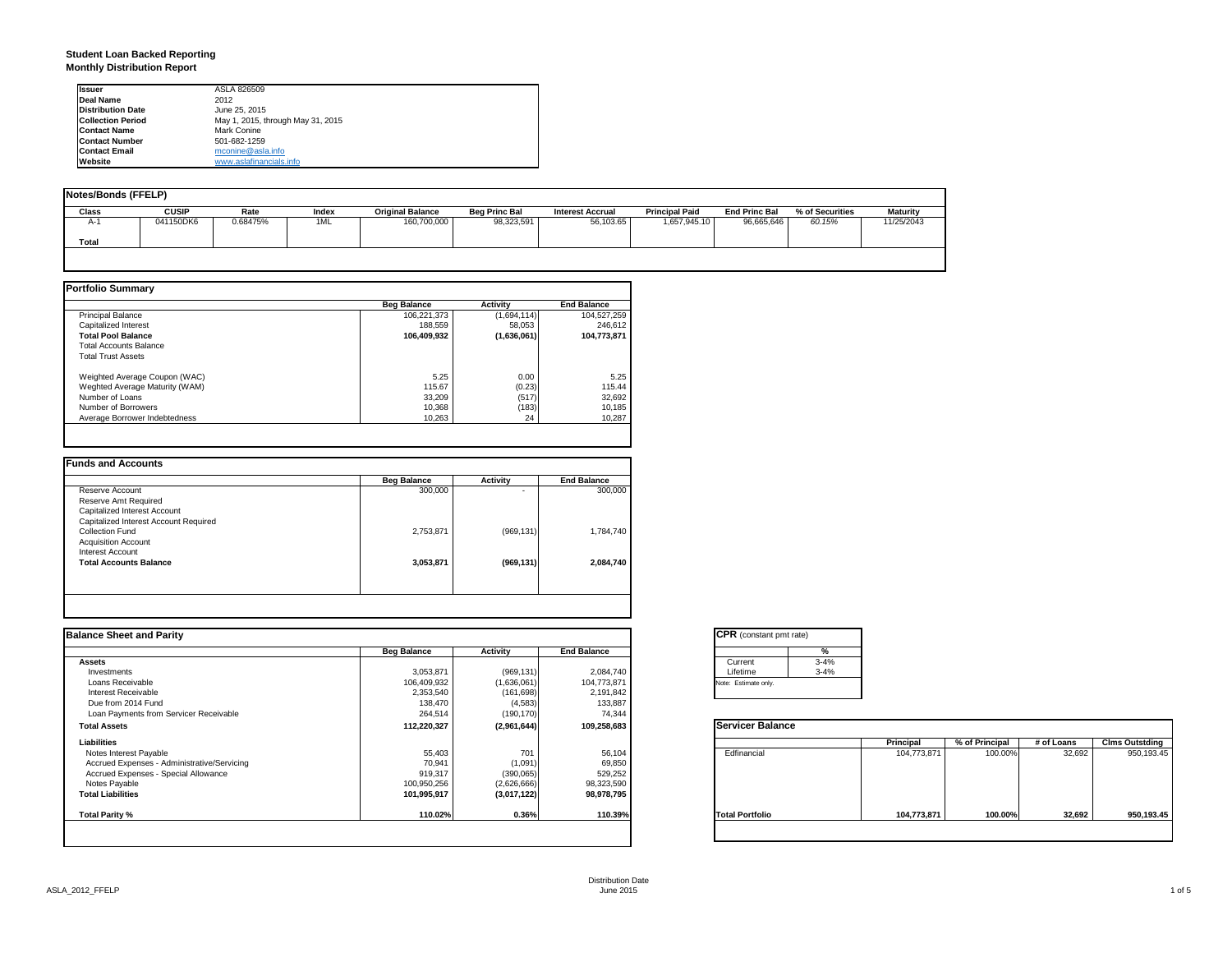### **Student Loan Backed Reporting Monthly Distribution Report**

| <b>Issuer</b>            | ASLA 826509                       |
|--------------------------|-----------------------------------|
| Deal Name                | 2012                              |
| <b>Distribution Date</b> | June 25, 2015                     |
| <b>Collection Period</b> | May 1, 2015, through May 31, 2015 |
| <b>Contact Name</b>      | Mark Conine                       |
| <b>Contact Number</b>    | 501-682-1259                      |
| <b>Contact Email</b>     | mconine@asla.info                 |
| Website                  | www.aslafinancials.info           |

| Notes/Bonds (FFELP) |              |          |       |                         |                      |                         |                       |                      |                 |                 |
|---------------------|--------------|----------|-------|-------------------------|----------------------|-------------------------|-----------------------|----------------------|-----------------|-----------------|
| <b>Class</b>        | <b>CUSIP</b> | Rate     | Index | <b>Original Balance</b> | <b>Beg Princ Bal</b> | <b>Interest Accrual</b> | <b>Principal Paid</b> | <b>End Princ Bal</b> | % of Securities | <b>Maturity</b> |
| A-1                 | 041150DK6    | 0.68475% | 1ML   | 160,700,000             | 98,323,591           | 56,103.65               | 1,657,945.10          | 96.665.646           | 60.15%          | 11/25/2043      |
| Total               |              |          |       |                         |                      |                         |                       |                      |                 |                 |
|                     |              |          |       |                         |                      |                         |                       |                      |                 |                 |

|                                | <b>Beg Balance</b> | <b>Activity</b> | <b>End Balance</b> |
|--------------------------------|--------------------|-----------------|--------------------|
| <b>Principal Balance</b>       | 106.221.373        | (1,694,114)     | 104,527,259        |
| Capitalized Interest           | 188.559            | 58.053          | 246.612            |
| <b>Total Pool Balance</b>      | 106.409.932        | (1,636,061)     | 104,773,871        |
| <b>Total Accounts Balance</b>  |                    |                 |                    |
| <b>Total Trust Assets</b>      |                    |                 |                    |
| Weighted Average Coupon (WAC)  | 5.25               | 0.00            | 5.25               |
| Weghted Average Maturity (WAM) | 115.67             | (0.23)          | 115.44             |
| Number of Loans                | 33.209             | (517)           | 32,692             |
| Number of Borrowers            | 10,368             | (183)           | 10,185             |
| Average Borrower Indebtedness  | 10.263             | 24              | 10,287             |

|                                       | <b>Beg Balance</b> | <b>Activity</b> | <b>End Balance</b> |
|---------------------------------------|--------------------|-----------------|--------------------|
| Reserve Account                       | 300,000            |                 | 300,000            |
| Reserve Amt Required                  |                    |                 |                    |
| Capitalized Interest Account          |                    |                 |                    |
| Capitalized Interest Account Required |                    |                 |                    |
| Collection Fund                       | 2,753,871          | (969, 131)      | 1,784,740          |
| <b>Acquisition Account</b>            |                    |                 |                    |
| Interest Account                      |                    |                 |                    |
| <b>Total Accounts Balance</b>         | 3,053,871          | (969, 131)      | 2.084.740          |
|                                       |                    |                 |                    |
|                                       |                    |                 |                    |
|                                       |                    |                 |                    |

|                    |             |                    | <b>CPR</b> (constant pmt rate) |             |                |            |                       |
|--------------------|-------------|--------------------|--------------------------------|-------------|----------------|------------|-----------------------|
| <b>Beg Balance</b> | Activity    | <b>End Balance</b> | %                              |             |                |            |                       |
|                    |             |                    | $3 - 4%$<br>Current            |             |                |            |                       |
| 3,053,871          | (969, 131)  | 2,084,740          | Lifetime<br>$3 - 4%$           |             |                |            |                       |
| 106,409,932        | (1,636,061) | 104,773,871        | Note: Estimate only.           |             |                |            |                       |
| 2,353,540          | (161, 698)  | 2,191,842          |                                |             |                |            |                       |
| 138,470            | (4, 583)    | 133,887            |                                |             |                |            |                       |
| 264,514            | (190, 170)  | 74,344             |                                |             |                |            |                       |
| 112,220,327        | (2,961,644) | 109,258,683        | <b>Servicer Balance</b>        |             |                |            |                       |
|                    |             |                    |                                | Principal   | % of Principal | # of Loans | <b>Clms Outstding</b> |
| 55,403             | 701         | 56,104             | Edfinancial                    | 104,773,871 | 100.00%        | 32,692     | 950,193.45            |
| 70,941             |             |                    |                                |             |                |            |                       |
| 919,317            | (390,065)   | 529,252            |                                |             |                |            |                       |
| 100,950,256        | (2,626,666) |                    |                                |             |                |            |                       |
| 101,995,917        | (3,017,122) | 98,978,795         |                                |             |                |            |                       |
| 110.02%            | 0.36%       | 110.39%            | <b>Total Portfolio</b>         | 104,773,871 | 100.00%        |            | 950,193.45            |
|                    |             | (1,091)            | 69,850<br>98,323,590           |             |                |            | 32,692                |

|          | ℀        |
|----------|----------|
| Current  | $3 - 4%$ |
| Lifetime | $3 - 4%$ |

|                        | Principal   | % of Principal | # of Loans | <b>Clms Outstding</b> |
|------------------------|-------------|----------------|------------|-----------------------|
| Edfinancial            | 104,773,871 | 100.00%        | 32,692     | 950,193.45            |
| <b>Total Portfolio</b> | 104,773,871 | 100.00%        | 32,692     | 950,193.45            |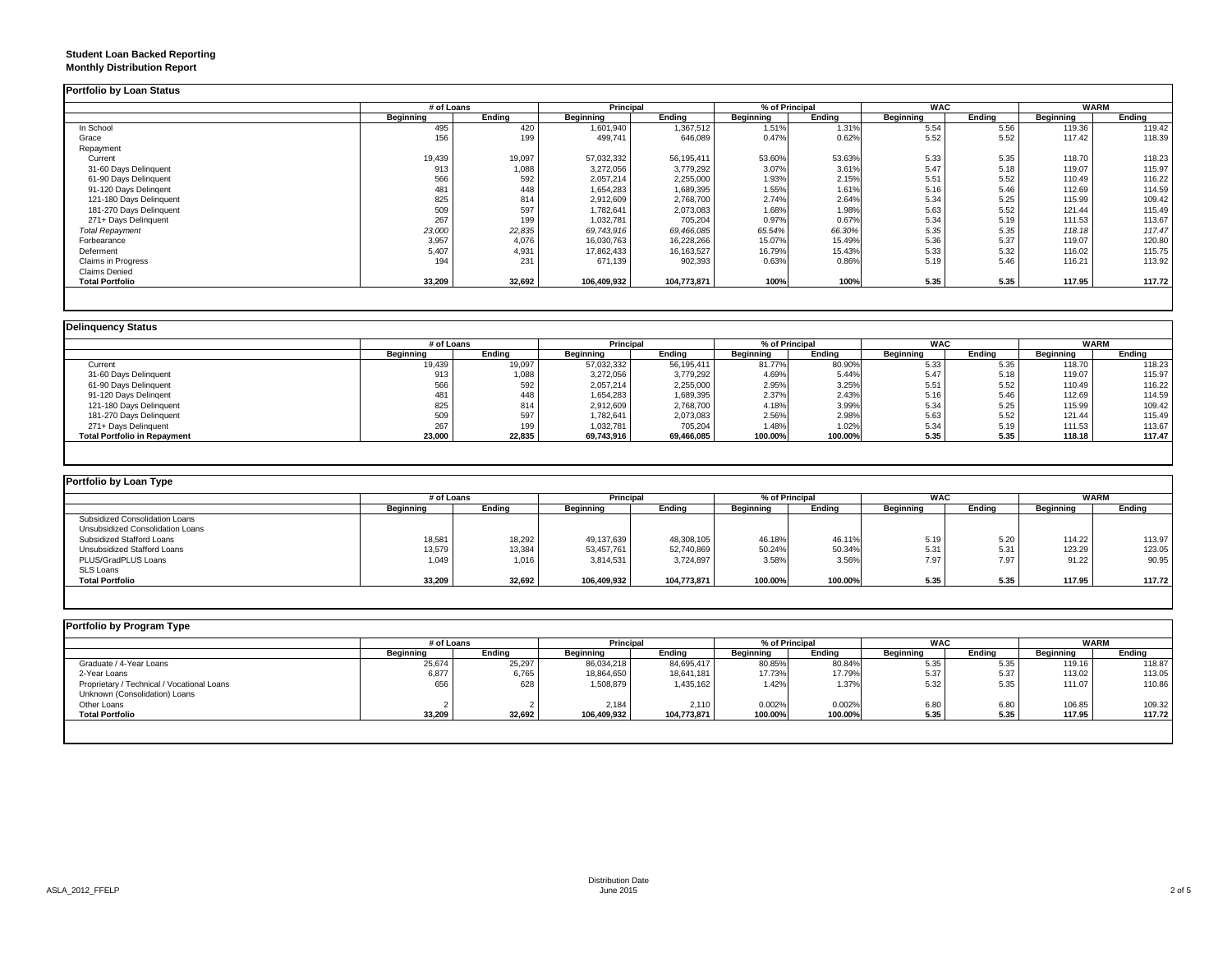### **Student Loan Backed Reporting Monthly Distribution Report**

|                         | # of Loans |        | Principal   |              | % of Principal |        | <b>WAC</b> |        | <b>WARM</b> |        |
|-------------------------|------------|--------|-------------|--------------|----------------|--------|------------|--------|-------------|--------|
|                         | Beginning  | Ending | Beginning   | Ending       | Beginning      | Ending | Beginning  | Ending | Beginning   | Ending |
| In School               | 495        | 420    | 1,601,940   | 1,367,512    | 1.51%          | 1.31%  | 5.54       | 5.56   | 119.36      | 119.42 |
| Grace                   | 156        | 199    | 499,741     | 646,089      | 0.47%          | 0.62%  | 5.52       | 5.52   | 117.42      | 118.39 |
| Repayment               |            |        |             |              |                |        |            |        |             |        |
| Current                 | 19,439     | 19,097 | 57,032,332  | 56,195,411   | 53.60%         | 53.63% | 5.33       | 5.35   | 118.70      | 118.23 |
| 31-60 Days Delinquent   | 913        | 1,088  | 3,272,056   | 3,779,292    | 3.07%          | 3.61%  | 5.47       | 5.18   | 119.07      | 115.97 |
| 61-90 Days Delinquent   | 566        | 592    | 2,057,214   | 2,255,000    | 1.93%          | 2.15%  | 5.51       | 5.52   | 110.49      | 116.22 |
| 91-120 Days Delingent   | 481        | 448    | 1,654,283   | 1,689,395    | 1.55%          | 1.61%  | 5.16       | 5.46   | 112.69      | 114.59 |
| 121-180 Days Delinquent | 825        | 814    | 2,912,609   | 2,768,700    | 2.74%          | 2.64%  | 5.34       | 5.25   | 115.99      | 109.42 |
| 181-270 Days Delinquent | 509        | 597    | 1,782,641   | 2,073,083    | 1.68%          | 1.98%  | 5.63       | 5.52   | 121.44      | 115.49 |
| 271+ Days Delinquent    | 267        | 199    | 1,032,781   | 705,204      | 0.97%          | 0.67%  | 5.34       | 5.19   | 111.53      | 113.67 |
| <b>Total Repayment</b>  | 23,000     | 22,835 | 69,743,916  | 69,466,085   | 65.54%         | 66.30% | 5.35       | 5.35   | 118.18      | 117.47 |
| Forbearance             | 3,957      | 4,076  | 16,030,763  | 16,228,266   | 15.07%         | 15.49% | 5.36       | 5.37   | 119.07      | 120.80 |
| Deferment               | 5,407      | 4,931  | 17,862,433  | 16, 163, 527 | 16.79%         | 15.43% | 5.33       | 5.32   | 116.02      | 115.75 |
| Claims in Progress      | 194        | 231    | 671,139     | 902,393      | 0.63%          | 0.86%  | 5.19       | 5.46   | 116.21      | 113.92 |
| <b>Claims Denied</b>    |            |        |             |              |                |        |            |        |             |        |
| <b>Total Portfolio</b>  | 33,209     | 32,692 | 106,409,932 | 104,773,871  | 100%           | 100%   | 5.35       | 5.35   | 117.95      | 117.72 |

|                                     |           | # of Loans |            | <b>Principal</b> |           | % of Principal | <b>WAC</b> |        | <b>WARM</b> |        |
|-------------------------------------|-----------|------------|------------|------------------|-----------|----------------|------------|--------|-------------|--------|
|                                     | Beainnina | Endina     | Beginning  | Ending           | Beginning | Endina         | Beginning  | Endina | Beginning   | Ending |
| Current                             | 19,439    | 19,097     | 57,032,332 | 56,195,411       | 81.77%    | 80.90%         | 5.33       | 5.35   | 118.70      | 118.23 |
| 31-60 Days Delinquent               | 913       | 1,088      | 3,272,056  | 3,779,292        | 4.69%     | 5.44%          | 5.47       | 5.18   | 119.07      | 115.97 |
| 61-90 Days Delinquent               | 566       | 592        | 2,057,214  | 2,255,000        | 2.95%     | 3.25%          | 5.51       | 5.52   | 110.49      | 116.22 |
| 91-120 Days Delingent               | 481       | 448        | 1,654,283  | 1,689,395        | 2.37%     | 2.43%          | 5.16       | 5.46   | 112.69      | 114.59 |
| 121-180 Days Delinquent             | 825       | 814        | 2,912,609  | 2,768,700        | 4.18%     | 3.99%          | 5.34       | 5.25   | 115.99      | 109.42 |
| 181-270 Days Delinquent             | 509       | 597        | 1,782,641  | 2,073,083        | 2.56%     | 2.98%          | 5.63       | 5.52   | 121.44      | 115.49 |
| 271+ Days Delinquent                | 267       | 199        | 1,032,781  | 705.204          | 1.48%     | 1.02%          | 5.34       | 5.19   | 111.53      | 113.67 |
| <b>Total Portfolio in Repayment</b> | 23,000    | 22,835     | 69,743,916 | 69,466,085       | 100.00%   | 100.00%        | 5.35       | 5.35   | 118.18      | 117.47 |

| Portfolio by Loan Type           |                  |        |             |             |                |         |                  |        |             |        |
|----------------------------------|------------------|--------|-------------|-------------|----------------|---------|------------------|--------|-------------|--------|
|                                  | # of Loans       |        | Principal   |             | % of Principal |         | <b>WAC</b>       |        | <b>WARM</b> |        |
|                                  | <b>Beginning</b> | Ending | Beginning   | Endina      | Beainnina      | Endina  | <b>Beginning</b> | Ending | Beginning   | Ending |
| Subsidized Consolidation Loans   |                  |        |             |             |                |         |                  |        |             |        |
| Unsubsidized Consolidation Loans |                  |        |             |             |                |         |                  |        |             |        |
| Subsidized Stafford Loans        | 18,581           | 18,292 | 49,137,639  | 48,308,105  | 46.18%         | 46.11%  | 5.19             | 5.20   | 114.22      | 113.97 |
| Unsubsidized Stafford Loans      | 13,579           | 13,384 | 53,457,761  | 52,740,869  | 50.24%         | 50.34%  | 5.31             | 5.31   | 123.29      | 123.05 |
| PLUS/GradPLUS Loans              | 1,049            | 1,016  | 3,814,531   | 3,724,897   | 3.58%          | 3.56%   | 7.97             | 7.97   | 91.22       | 90.95  |
| <b>SLS Loans</b>                 |                  |        |             |             |                |         |                  |        |             |        |
| <b>Total Portfolio</b>           | 33,209           | 32,692 | 106,409,932 | 104,773,871 | 100.00%        | 100.00% | 5.35             | 5.35   | 117.95      | 117.72 |

|                                            |                  | # of Loans |                  | <b>Principal</b> |           | % of Principal |           | <b>WAC</b> |           | <b>WARM</b> |  |
|--------------------------------------------|------------------|------------|------------------|------------------|-----------|----------------|-----------|------------|-----------|-------------|--|
|                                            | <b>Beginning</b> | Ending     | <b>Beginning</b> | Endina           | Beginning | Ending         | Beginning | Ending     | Beginning | Ending      |  |
| Graduate / 4-Year Loans                    | 25,674           | 25,297     | 86,034,218       | 84,695,417       | 80.85%    | 80.84%         | 5.35      | 5.35       | 119.16    | 118.87      |  |
| 2-Year Loans                               | 6,877            | 6,765      | 18,864,650       | 18,641,181       | 17.73%    | 17.79%         | 5.37      | 5.37       | 113.02    | 113.05      |  |
| Proprietary / Technical / Vocational Loans | 656              | 628        | 1,508,879        | 1,435,162        | 1.42%     | 1.37%          | 5.32      | 5.35       | 111.07    | 110.86      |  |
| Unknown (Consolidation) Loans              |                  |            |                  |                  |           |                |           |            |           |             |  |
| Other Loans                                |                  |            | 2.184            | 2.110            | 0.002%    | 0.002%         | 6.80      | 6.80       | 106.85    | 109.32      |  |
| <b>Total Portfolio</b>                     | 33,209           | 32,692     | 106,409,932      | 104,773,871      | 100.00%   | 100.00%        | 5.35      | 5.35       | 117.95    | 117.72      |  |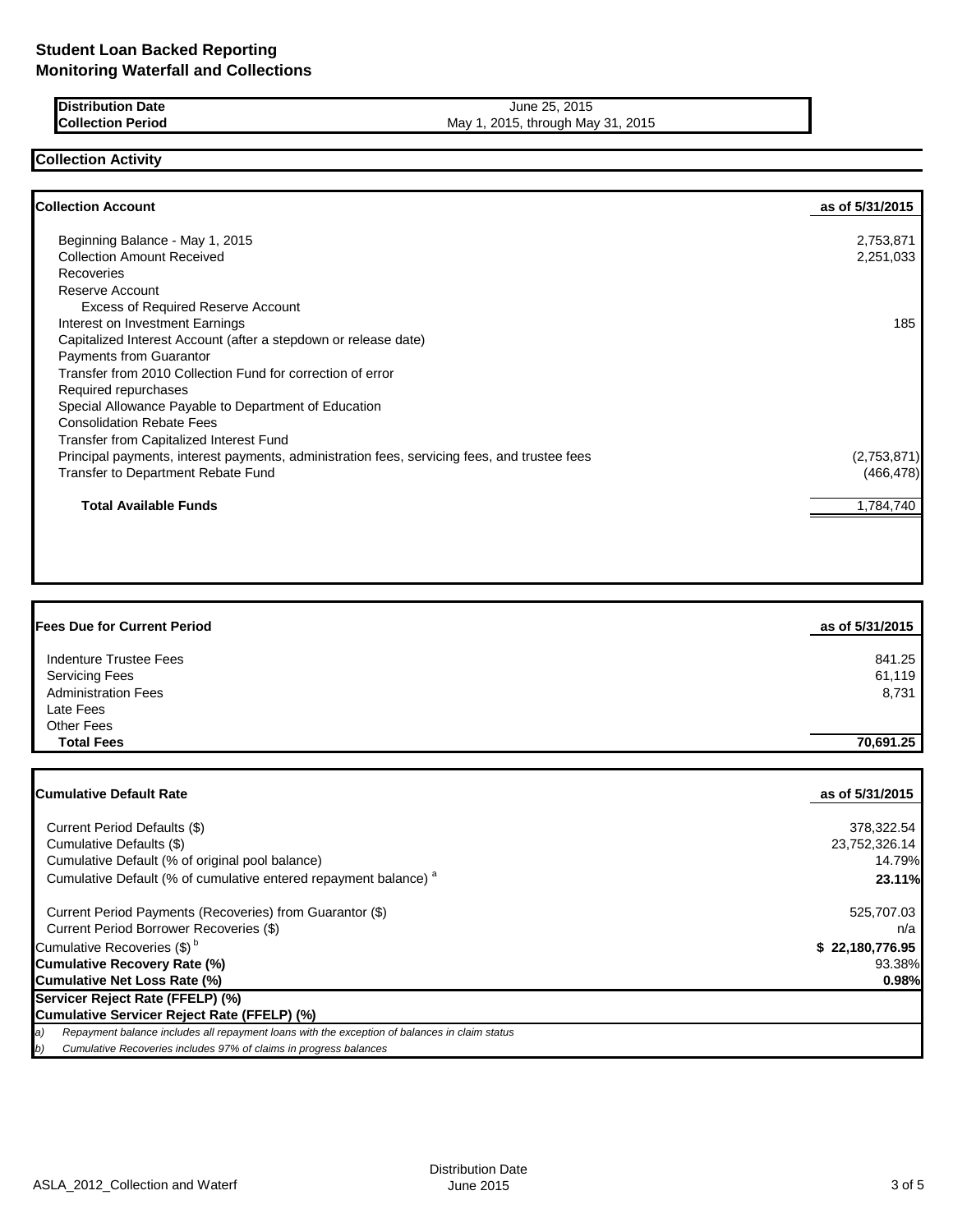| <b>Distribution Date</b> | 2015<br>June 25.                  |  |
|--------------------------|-----------------------------------|--|
| <b>Collection Period</b> | May 1, 2015, through May 31, 2015 |  |

# **Collection Activity**

| <b>Collection Account</b>                                                                    | as of 5/31/2015 |
|----------------------------------------------------------------------------------------------|-----------------|
| Beginning Balance - May 1, 2015                                                              | 2,753,871       |
| <b>Collection Amount Received</b>                                                            | 2,251,033       |
| Recoveries                                                                                   |                 |
| <b>Reserve Account</b>                                                                       |                 |
| <b>Excess of Required Reserve Account</b>                                                    |                 |
| Interest on Investment Earnings                                                              | 185             |
| Capitalized Interest Account (after a stepdown or release date)                              |                 |
| Payments from Guarantor                                                                      |                 |
| Transfer from 2010 Collection Fund for correction of error                                   |                 |
| Required repurchases                                                                         |                 |
| Special Allowance Payable to Department of Education                                         |                 |
| <b>Consolidation Rebate Fees</b>                                                             |                 |
| Transfer from Capitalized Interest Fund                                                      |                 |
| Principal payments, interest payments, administration fees, servicing fees, and trustee fees | (2,753,871)     |
| Transfer to Department Rebate Fund                                                           | (466, 478)      |
| <b>Total Available Funds</b>                                                                 | 1,784,740       |
|                                                                                              |                 |
|                                                                                              |                 |

| <b>Fees Due for Current Period</b> | as of 5/31/2015 |
|------------------------------------|-----------------|
| Indenture Trustee Fees             | 841.25          |
| <b>Servicing Fees</b>              | 61,119          |
| <b>Administration Fees</b>         | 8,731           |
| Late Fees                          |                 |
| <b>Other Fees</b>                  |                 |
| <b>Total Fees</b>                  | 70.691.25       |

| Cumulative Default Rate                                                                             | as of 5/31/2015 |
|-----------------------------------------------------------------------------------------------------|-----------------|
| Current Period Defaults (\$)                                                                        | 378,322.54      |
| Cumulative Defaults (\$)                                                                            | 23,752,326.14   |
| Cumulative Default (% of original pool balance)                                                     | 14.79%          |
| Cumulative Default (% of cumulative entered repayment balance) <sup>a</sup>                         | 23.11%          |
| Current Period Payments (Recoveries) from Guarantor (\$)                                            | 525,707.03      |
| Current Period Borrower Recoveries (\$)                                                             | n/a             |
| Cumulative Recoveries (\$) <sup>b</sup>                                                             | \$22,180,776.95 |
| <b>Cumulative Recovery Rate (%)</b>                                                                 | 93.38%          |
| Cumulative Net Loss Rate (%)                                                                        | 0.98%           |
| Servicer Reject Rate (FFELP) (%)                                                                    |                 |
| Cumulative Servicer Reject Rate (FFELP) (%)                                                         |                 |
| Repayment balance includes all repayment loans with the exception of balances in claim status<br>a) |                 |
| b)<br>Cumulative Recoveries includes 97% of claims in progress balances                             |                 |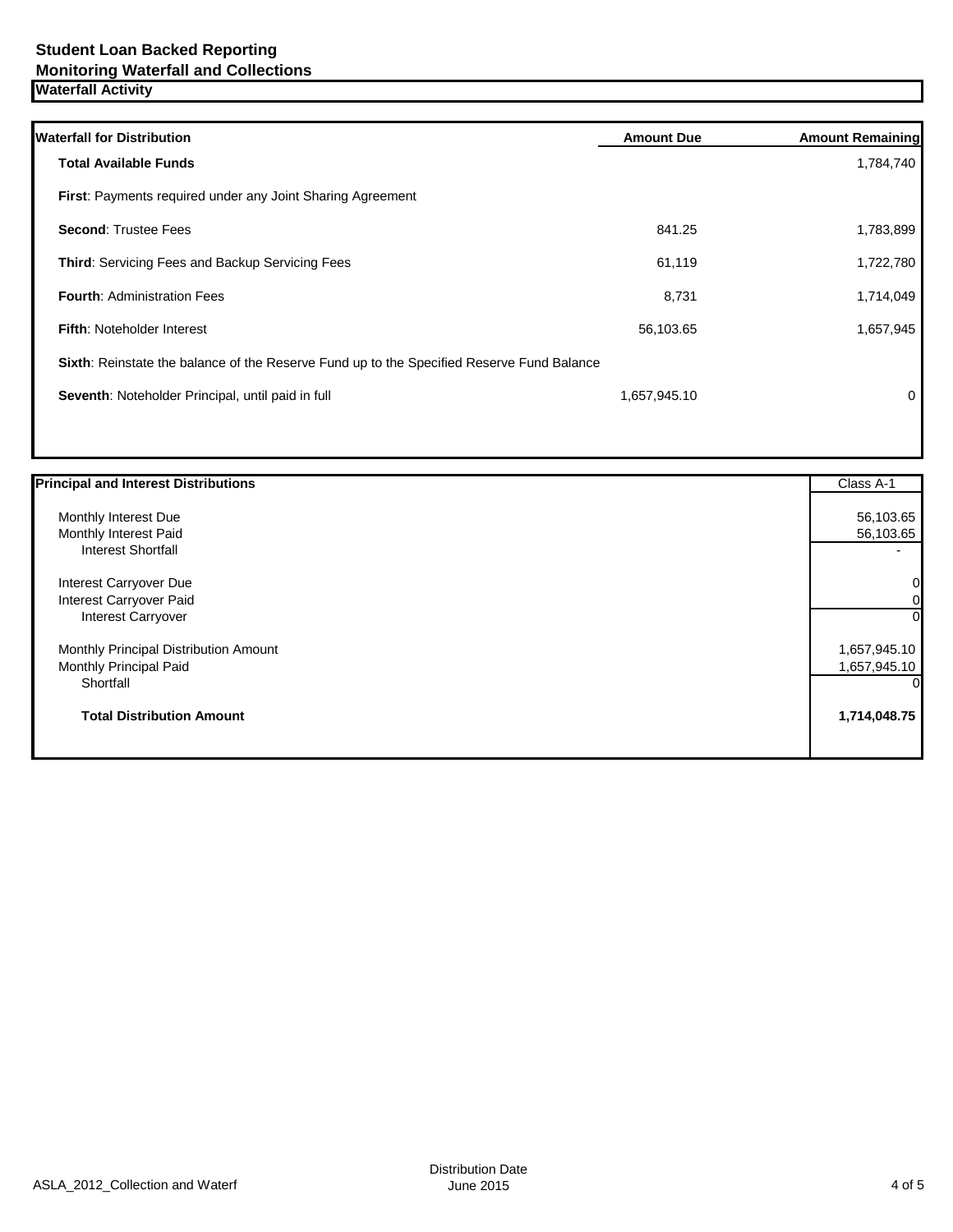| <b>Waterfall for Distribution</b>                                                         | <b>Amount Due</b> | <b>Amount Remaining</b> |
|-------------------------------------------------------------------------------------------|-------------------|-------------------------|
| <b>Total Available Funds</b>                                                              |                   | 1,784,740               |
| <b>First:</b> Payments required under any Joint Sharing Agreement                         |                   |                         |
| <b>Second: Trustee Fees</b>                                                               | 841.25            | 1,783,899               |
| <b>Third:</b> Servicing Fees and Backup Servicing Fees                                    | 61,119            | 1,722,780               |
| <b>Fourth: Administration Fees</b>                                                        | 8,731             | 1,714,049               |
| <b>Fifth: Noteholder Interest</b>                                                         | 56,103.65         | 1,657,945               |
| Sixth: Reinstate the balance of the Reserve Fund up to the Specified Reserve Fund Balance |                   |                         |
| Seventh: Noteholder Principal, until paid in full                                         | 1,657,945.10      | 0                       |
|                                                                                           |                   |                         |

| <b>Principal and Interest Distributions</b> | Class A-1    |
|---------------------------------------------|--------------|
| Monthly Interest Due                        | 56,103.65    |
| Monthly Interest Paid                       | 56,103.65    |
| <b>Interest Shortfall</b>                   |              |
| Interest Carryover Due                      | 0            |
| Interest Carryover Paid                     | 0            |
| Interest Carryover                          | $\Omega$     |
| Monthly Principal Distribution Amount       | 1,657,945.10 |
| Monthly Principal Paid                      | 1,657,945.10 |
| Shortfall                                   |              |
| <b>Total Distribution Amount</b>            | 1,714,048.75 |
|                                             |              |